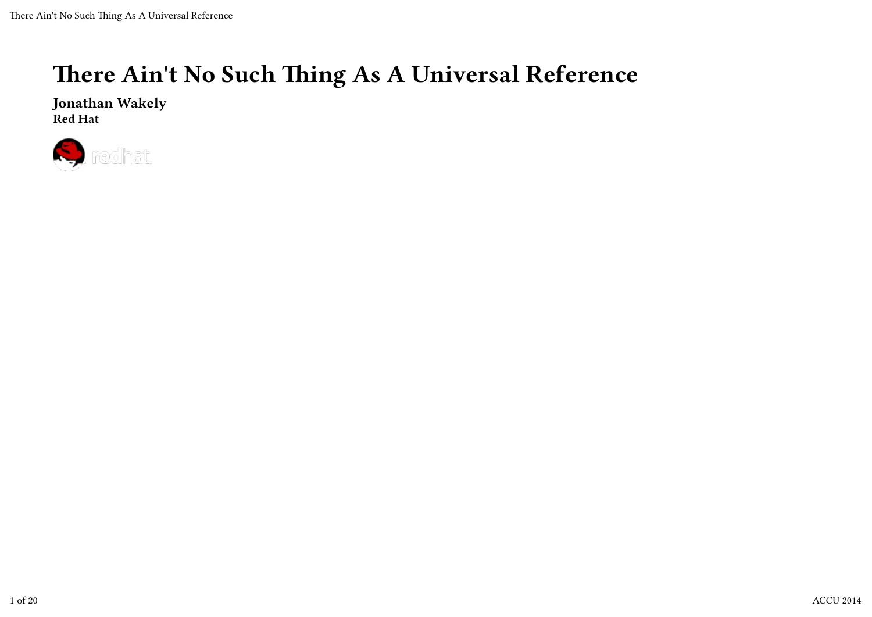#### There Ain't No Such Thing As A Universal Reference

Jonathan Wakely Red Hat

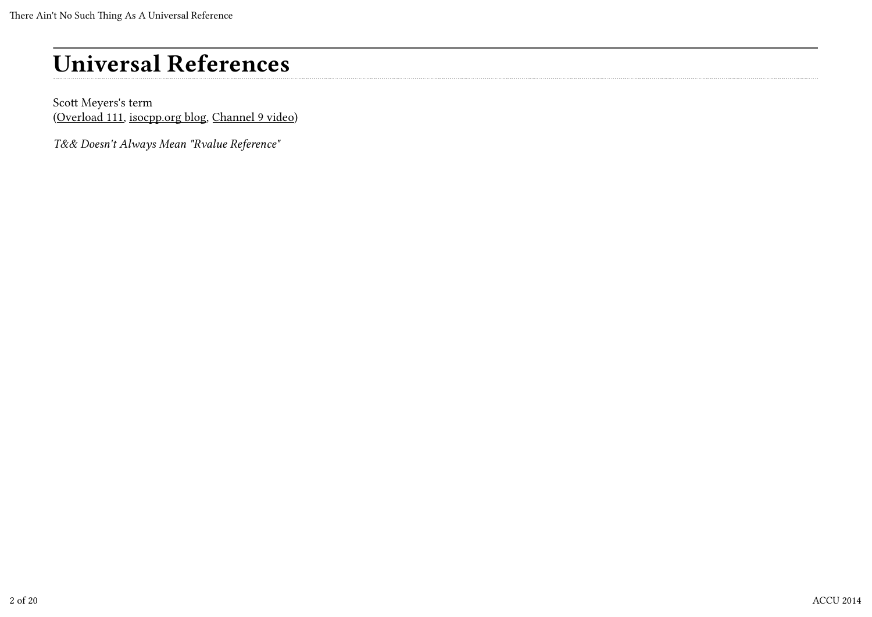Scott Meyers's term (Overload 111, isocpp.org blog, Channel 9 video)

T&& Doesn't Always Mean "Rvalue Reference"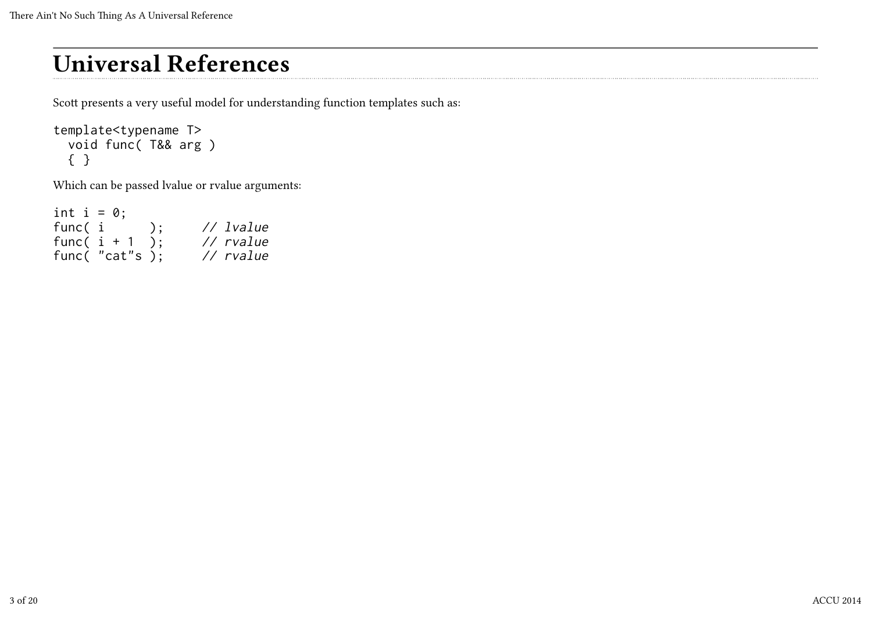Scott presents a very useful model for understanding function templates such as:

```
template<typename T>
   void func( T&& arg )
   { }
```
Which can be passed lvalue or rvalue arguments:

| int $i = 0$ ; |                   |    |                  |
|---------------|-------------------|----|------------------|
| func( i       |                   | ); | // <i>lvalue</i> |
|               | func( $i + 1$     |    | $//$ rvalue      |
|               | func( $"cat"s$ ); |    | $//$ $r$ value   |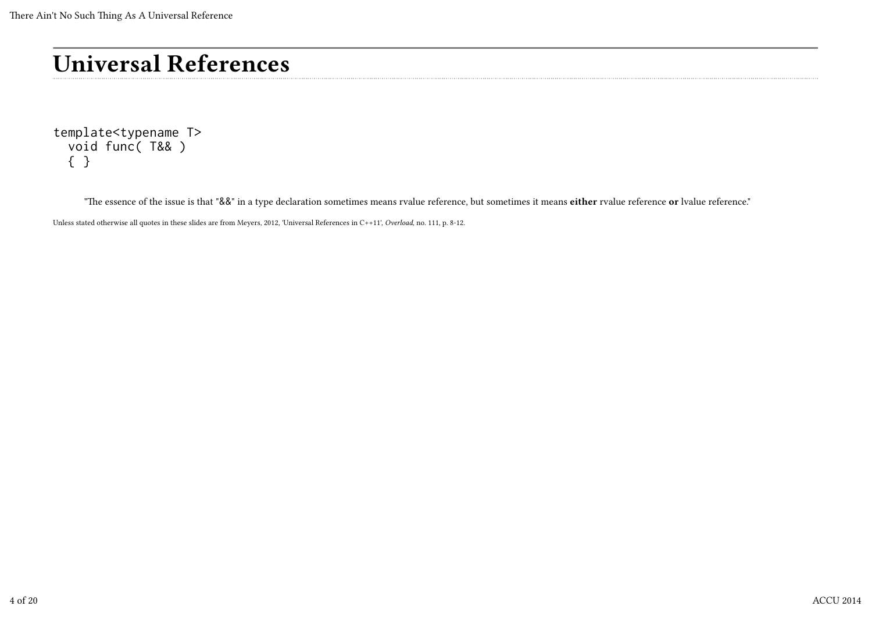template<typename T> void func( T&& ) { }

"The essence of the issue is that "&&" in a type declaration sometimes means rvalue reference, but sometimes it means either rvalue reference or lvalue reference."

Unless stated otherwise all quotes in these slides are from Meyers, 2012, 'Universal References in C++11', Overload, no. 111, p. 8-12.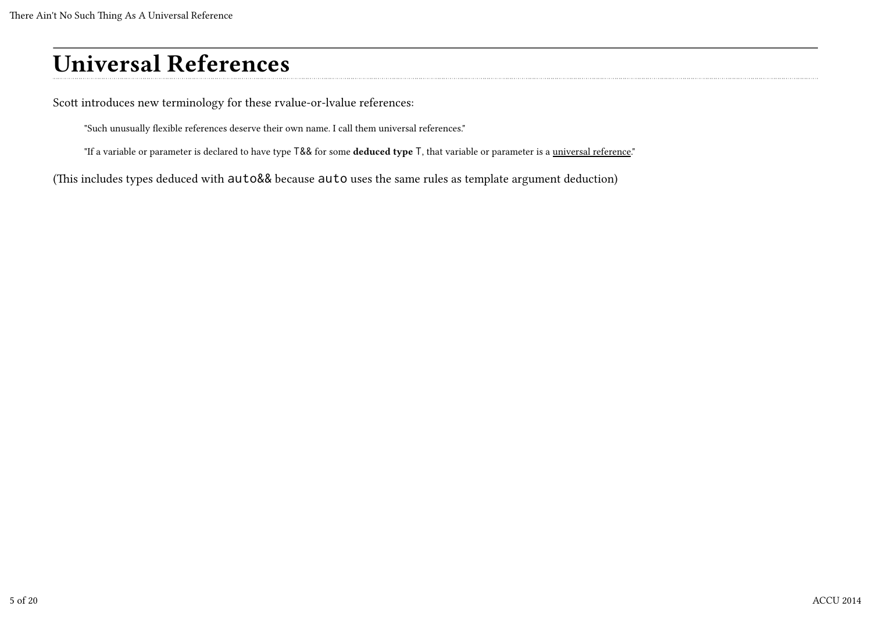Scott introduces new terminology for these rvalue-or-lvalue references:

"Such unusually flexible references deserve their own name. I call them universal references."

"If a variable or parameter is declared to have type T&& for some deduced type T, that variable or parameter is a universal reference."

(This includes types deduced with auto&& because auto uses the same rules as template argument deduction)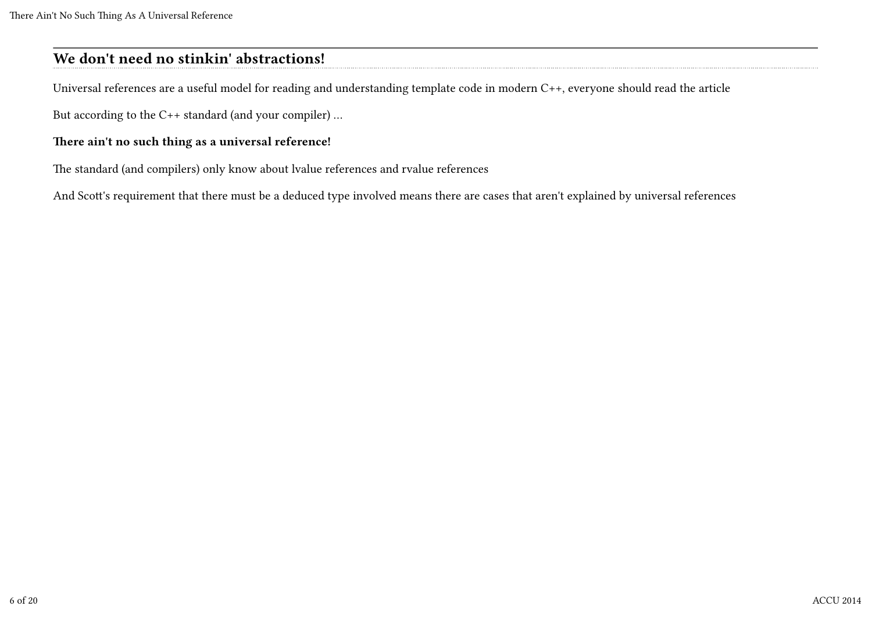#### We don't need no stinkin' abstractions!

Universal references are a useful model for reading and understanding template code in modern C++, everyone should read the article

But according to the C++ standard (and your compiler) …

#### There ain't no such thing as a universal reference!

The standard (and compilers) only know about lvalue references and rvalue references

And Scott's requirement that there must be a deduced type involved means there are cases that aren't explained by universal references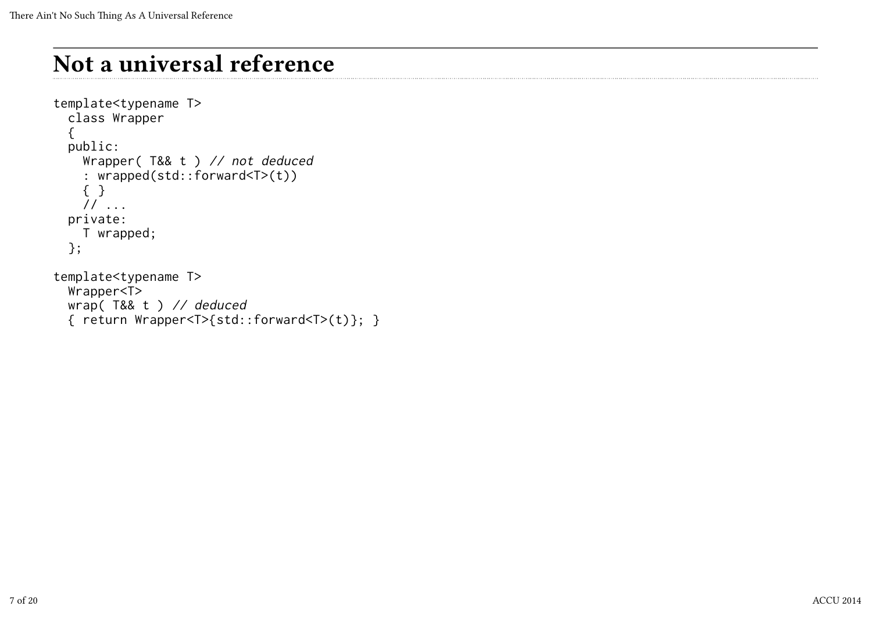# Not a universal reference

```
template<typename T>
   class Wrapper
   {
   public:
     Wrapper( T&& t ) // not deduced
     : wrapped(std::forward<T>(t))
     { }
     // ...
   private:
     T wrapped;
   };
template<typename T>
   Wrapper<T>
   wrap( T&& t ) // deduced
```

```
 { return Wrapper<T>{std::forward<T>(t)}; }
```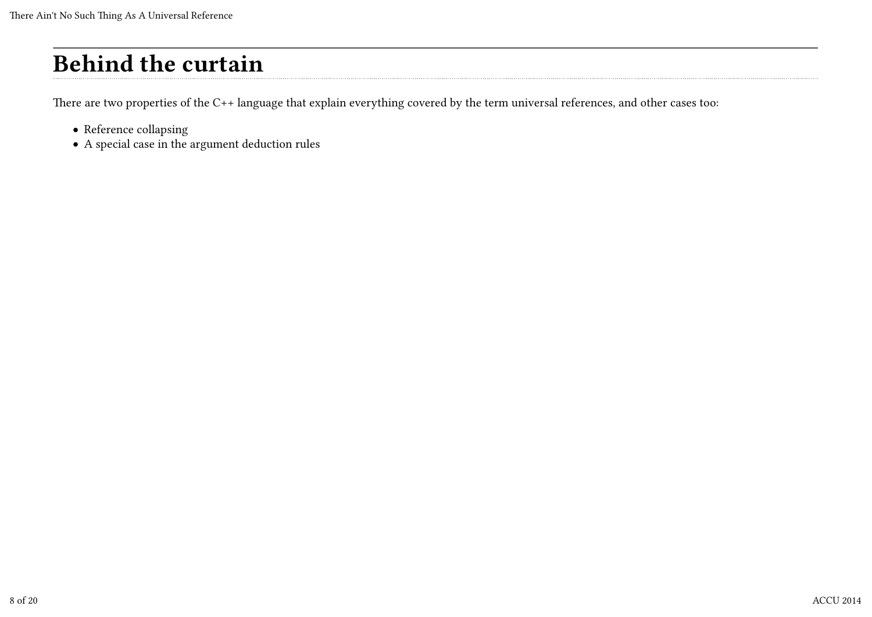# Behind the curtain

There are two properties of the C++ language that explain everything covered by the term universal references, and other cases too:

- Reference collapsing
- A special case in the argument deduction rules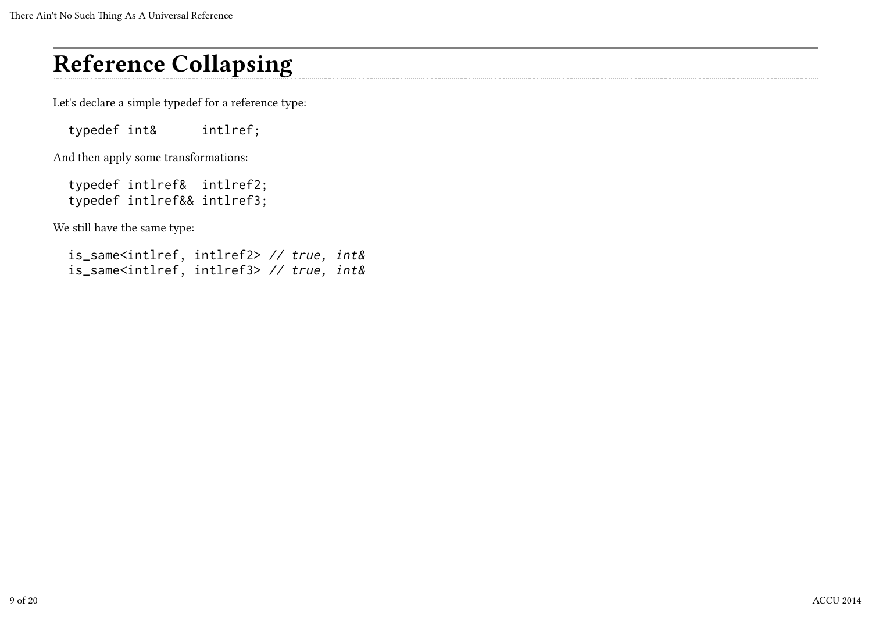Let's declare a simple typedef for a reference type:

typedef int& intlref;

And then apply some transformations:

 typedef intlref& intlref2; typedef intlref&& intlref3;

We still have the same type:

| is_same <intlref, intlref2=""> // true, int&amp;</intlref,> |  |  |
|-------------------------------------------------------------|--|--|
| is_same <intlref, intlref3=""> // true, int&amp;</intlref,> |  |  |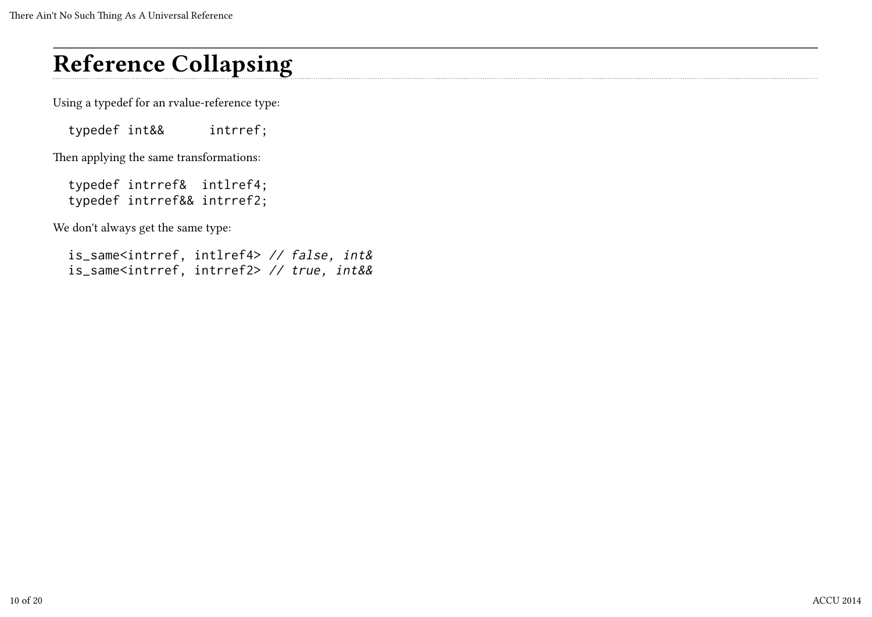Using a typedef for an rvalue-reference type:

typedef int&& intrref;

Then applying the same transformations:

 typedef intrref& intlref4; typedef intrref&& intrref2;

We don't always get the same type:

| is_same <intrref, intlref4=""> // false, int&amp;</intrref,>     |  |  |
|------------------------------------------------------------------|--|--|
| is_same <intrref, intrref2=""> // true, int&amp;&amp;</intrref,> |  |  |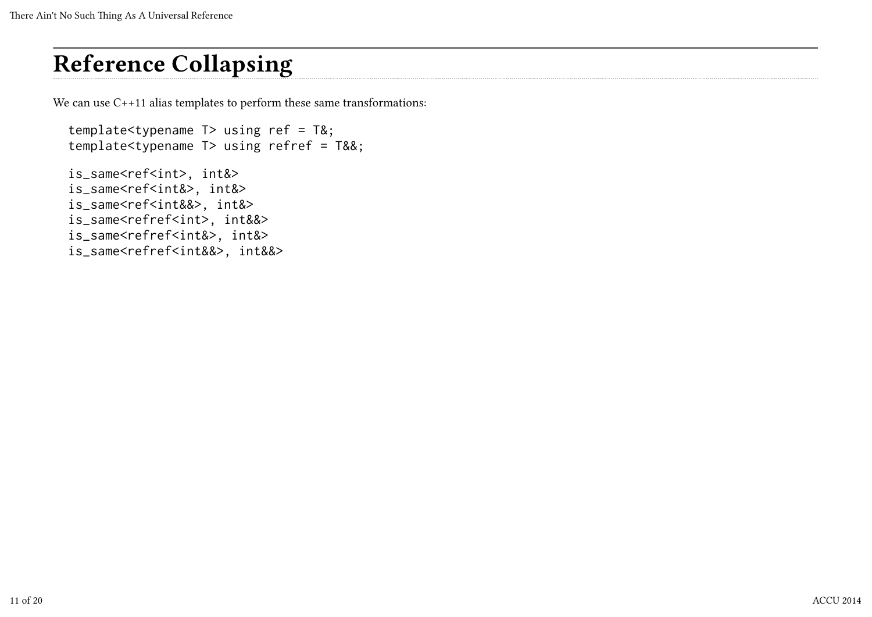We can use C++11 alias templates to perform these same transformations:

```
 template<typename T> using ref = T&;
 template<typename T> using refref = T&&;
 is_same<ref<int>, int&>
 is_same<ref<int&>, int&>
 is_same<ref<int&&>, int&>
 is_same<refref<int>, int&&>
 is_same<refref<int&>, int&>
 is_same<refref<int&&>, int&&>
```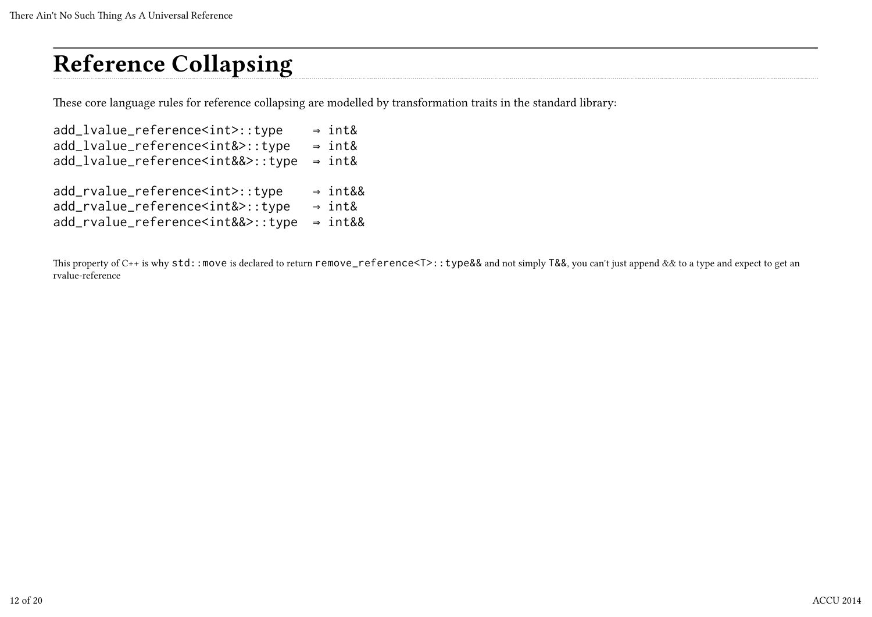These core language rules for reference collapsing are modelled by transformation traits in the standard library:

| add_lvalue_reference <int>::type</int>     | $\Rightarrow$ int&  |
|--------------------------------------------|---------------------|
| add_lvalue_reference <int&>::type</int&>   | $\Rightarrow$ int&  |
| add_lvalue_reference <int&&>::type</int&&> | $\Rightarrow$ int&  |
|                                            |                     |
| add_rvalue_reference <int>::type</int>     | $\Rightarrow$ int&& |
| add_rvalue_reference <int&>::type</int&>   | $\Rightarrow$ int&  |
| add_rvalue_reference <int&&>::type</int&&> | $\Rightarrow$ int&& |
|                                            |                     |

This property of C++ is why std::move is declared to return remove\_reference<T>::type&& and not simply T&&, you can't just append && to a type and expect to get an rvalue-reference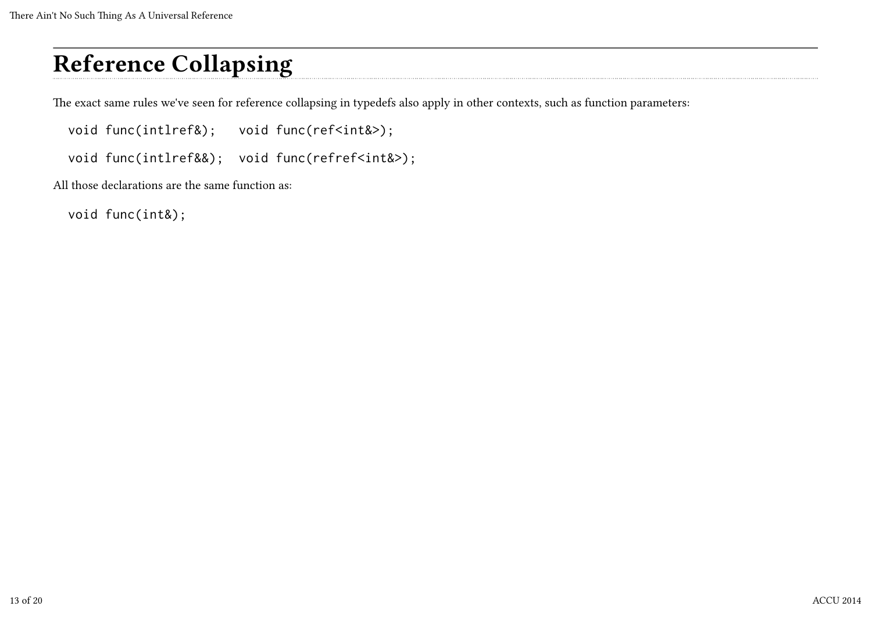The exact same rules we've seen for reference collapsing in typedefs also apply in other contexts, such as function parameters:

void func(intlref&); void func(ref<int&>);

void func(intlref&&); void func(refref<int&>);

All those declarations are the same function as:

void func(int&);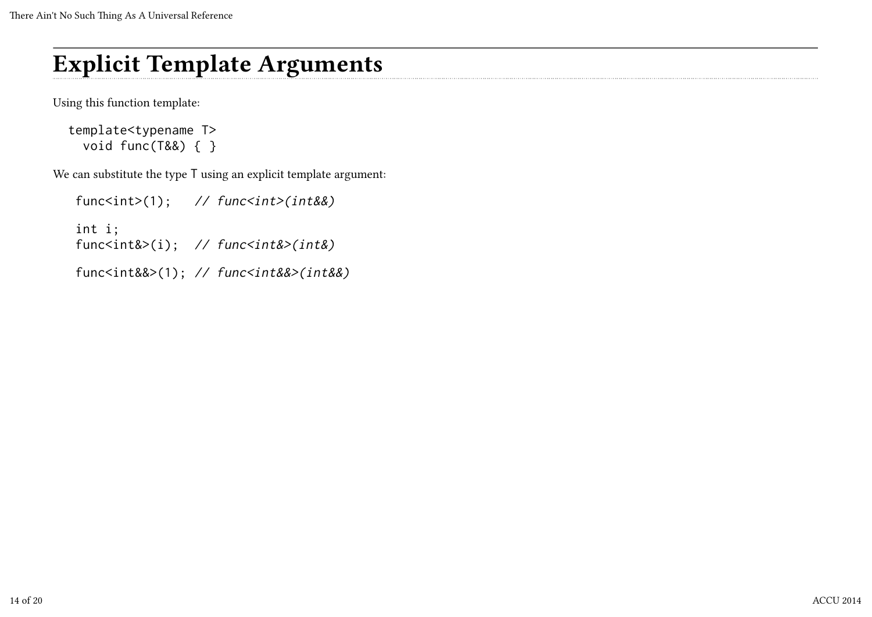#### Explicit Template Arguments

Using this function template:

```
 template<typename T>
   void func(T&&) { }
```
We can substitute the type T using an explicit template argument:

```
func<int>(1); \frac{1}{\tan(x)} func<int>(int&&)
 int i;
func<int&>(i); // func<int&>(int&)
 func<int&&>(1); // func<int&&>(int&&)
```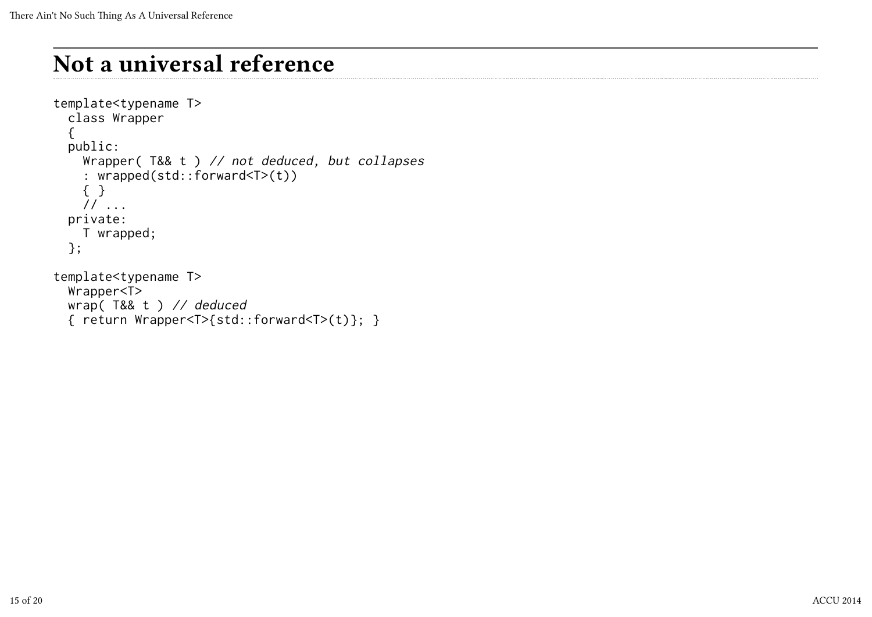## Not a universal reference

```
template<typename T>
   class Wrapper
   {
   public:
     Wrapper( T&& t ) // not deduced, but collapses
     : wrapped(std::forward<T>(t))
     { }
     // ...
   private:
     T wrapped;
   };
template<typename T>
   Wrapper<T>
   wrap( T&& t ) // deduced
   { return Wrapper<T>{std::forward<T>(t)}; }
```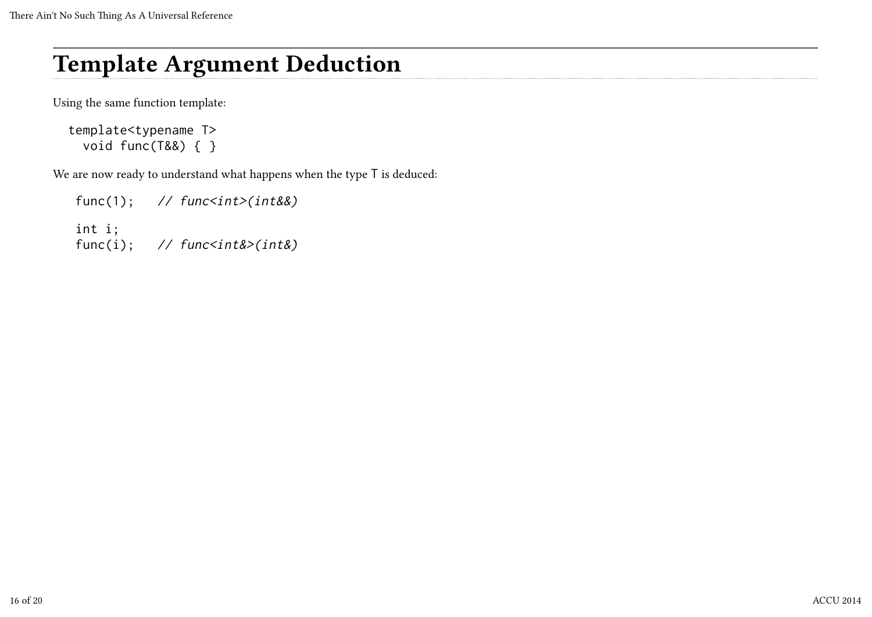#### Template Argument Deduction

Using the same function template:

```
 template<typename T>
   void func(T&&) { }
```
We are now ready to understand what happens when the type T is deduced:

```
func(1); // func<int>(int&amp;&amp;&amp;) int i;
func(i); // func<int&8>(int&)
```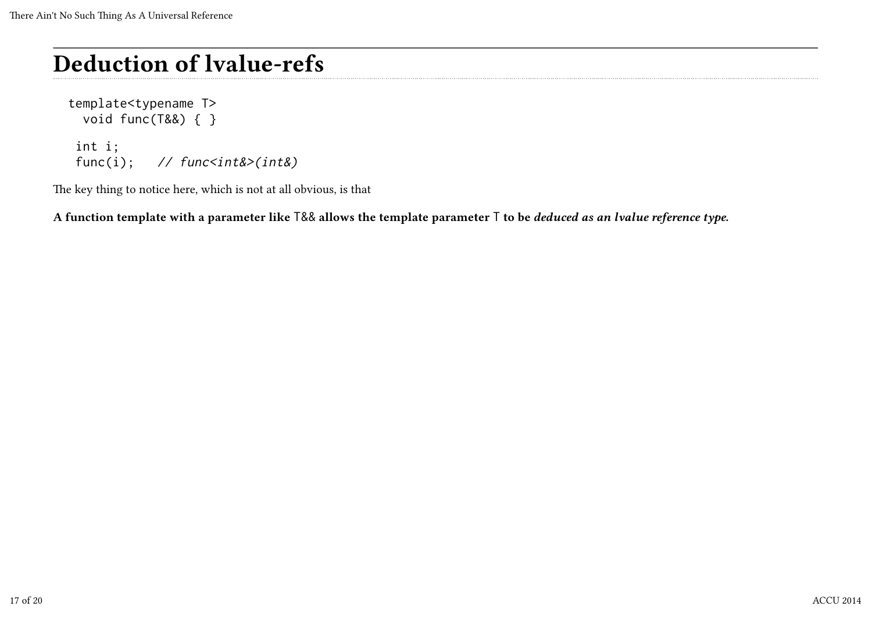# Deduction of lvalue-refs

```
 template<typename T>
   void func(T&&) { }
```

```
 int i;
func(i); \frac{1}{\sqrt{2}} func<int&>(int&)
```
The key thing to notice here, which is not at all obvious, is that

A function template with a parameter like T&& allows the template parameter T to be *deduced as an lvalue reference type*.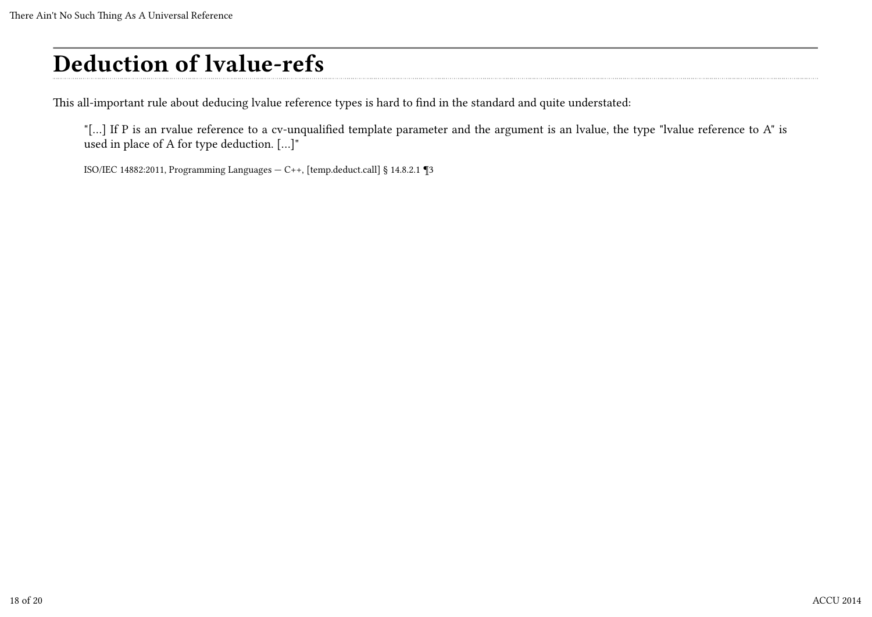# Deduction of lvalue-refs

This all-important rule about deducing lvalue reference types is hard to find in the standard and quite understated:

"[...] If P is an rvalue reference to a cv-unqualified template parameter and the argument is an lvalue, the type "lvalue reference to A" is used in place of A for type deduction. […]"

ISO/IEC 14882:2011, Programming Languages — C++, [temp.deduct.call] § 14.8.2.1 ¶3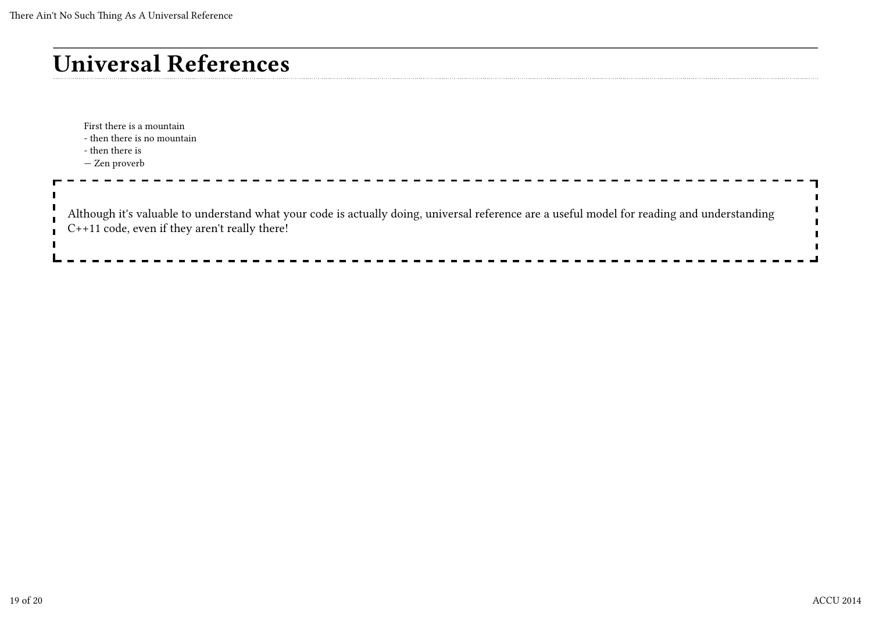First there is a mountain - then there is no mountain - then there is — Zen proverb  $\blacksquare$ Although it's valuable to understand what your code is actually doing, universal reference are a useful model for reading and understanding C++11 code, even if they aren't really there!